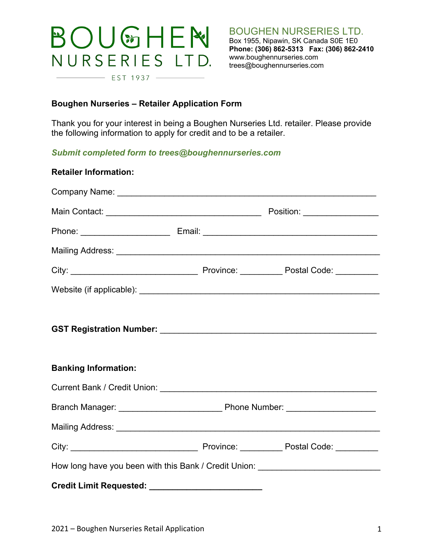## BOUGHEN NURSERIES LTD.  $\frac{1}{2}$  EST 1937

BOUGHEN NURSERIES LTD. Box 1955, Nipawin, SK Canada S0E 1E0 **Phone: (306) 862-5313 Fax: (306) 862-2410** www.boughennurseries.com trees@boughennurseries.com

## **Boughen Nurseries – Retailer Application Form**

Thank you for your interest in being a Boughen Nurseries Ltd. retailer. Please provide the following information to apply for credit and to be a retailer.

*Submit completed form to trees@boughennurseries.com*

| <b>Retailer Information:</b>                                                      |  |  |  |  |  |
|-----------------------------------------------------------------------------------|--|--|--|--|--|
|                                                                                   |  |  |  |  |  |
|                                                                                   |  |  |  |  |  |
|                                                                                   |  |  |  |  |  |
|                                                                                   |  |  |  |  |  |
|                                                                                   |  |  |  |  |  |
|                                                                                   |  |  |  |  |  |
| <b>Banking Information:</b>                                                       |  |  |  |  |  |
|                                                                                   |  |  |  |  |  |
|                                                                                   |  |  |  |  |  |
|                                                                                   |  |  |  |  |  |
|                                                                                   |  |  |  |  |  |
| How long have you been with this Bank / Credit Union: ___________________________ |  |  |  |  |  |
| <b>Credit Limit Requested:</b>                                                    |  |  |  |  |  |